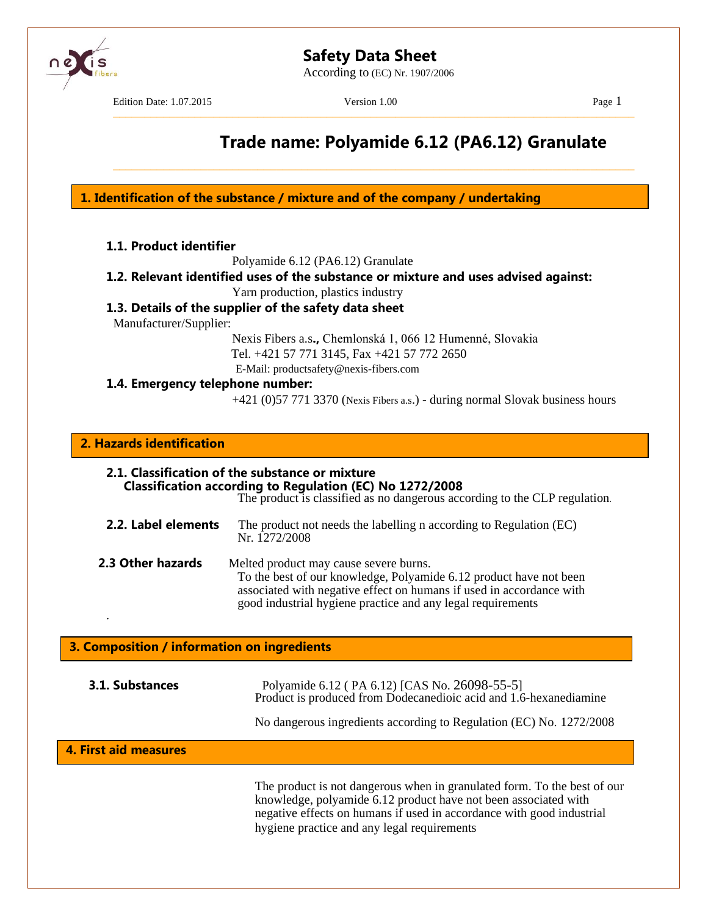

According to (EC) Nr. 1907/2006



Edition Date: 1.07.2015 Version 1.00 Page 1

–––––––––––––––––––––––––––––––––––––––––––––––––––––––––––––––––––––––––––––––––––

\_\_\_\_\_\_\_\_\_\_\_\_\_\_\_\_\_\_\_\_\_\_\_\_\_\_\_\_\_\_\_\_\_\_\_\_\_\_\_\_\_\_\_\_\_\_\_\_\_\_\_\_\_\_\_\_\_\_\_\_\_\_\_\_\_\_\_\_\_\_\_\_\_\_\_\_\_\_\_\_\_\_\_

# **Trade name: Polyamide 6.12 (PA6.12) Granulate**

**1. Identification of the substance / mixture and of the company / undertaking**

Polyamide 6.12 (PA6.12) Granulate

**1.2. Relevant identified uses of the substance or mixture and uses advised against:**

Yarn production, plastics industry

# **1.3. Details of the supplier of the safety data sheet**

Manufacturer/Supplier:

Nexis Fibers a.s**.,** Chemlonská 1, 066 12 Humenné, Slovakia Tel. +421 57 771 3145, Fax +421 57 772 2650 E-Mail: productsafety@nexis-fibers.com

**1.4. Emergency telephone number:**

+421 (0)57 771 3370 (Nexis Fibers a.s.) - during normal Slovak business hours

# **2. Hazards identification**

.

| 2.1. Classification of the substance or mixture<br>Classification according to Regulation (EC) No 1272/2008<br>The product is classified as no dangerous according to the CLP regulation. |                                                                                                                                                                                                                                                     |  |
|-------------------------------------------------------------------------------------------------------------------------------------------------------------------------------------------|-----------------------------------------------------------------------------------------------------------------------------------------------------------------------------------------------------------------------------------------------------|--|
| 2.2. Label elements                                                                                                                                                                       | The product not needs the labelling n according to Regulation (EC)<br>Nr. 1272/2008                                                                                                                                                                 |  |
| 2.3 Other hazards                                                                                                                                                                         | Melted product may cause severe burns.<br>To the best of our knowledge, Polyamide 6.12 product have not been<br>associated with negative effect on humans if used in accordance with<br>good industrial hygiene practice and any legal requirements |  |

# **3. Composition / information on ingredients**

| 3.1. Substances       | Polyamide 6.12 (PA 6.12) [CAS No. 26098-55-5]<br>Product is produced from Dodecanedioic acid and 1.6-hexanediamine                         |
|-----------------------|--------------------------------------------------------------------------------------------------------------------------------------------|
| 4. First aid measures | No dangerous ingredients according to Regulation (EC) No. 1272/2008                                                                        |
|                       | The product is not dangerous when in granulated form. To the best of our<br>Imourladge, notromide 6.12 modust here not been essecuted with |

knowledge, polyamide 6.12 product have not been associated with negative effects on humans if used in accordance with good industrial hygiene practice and any legal requirements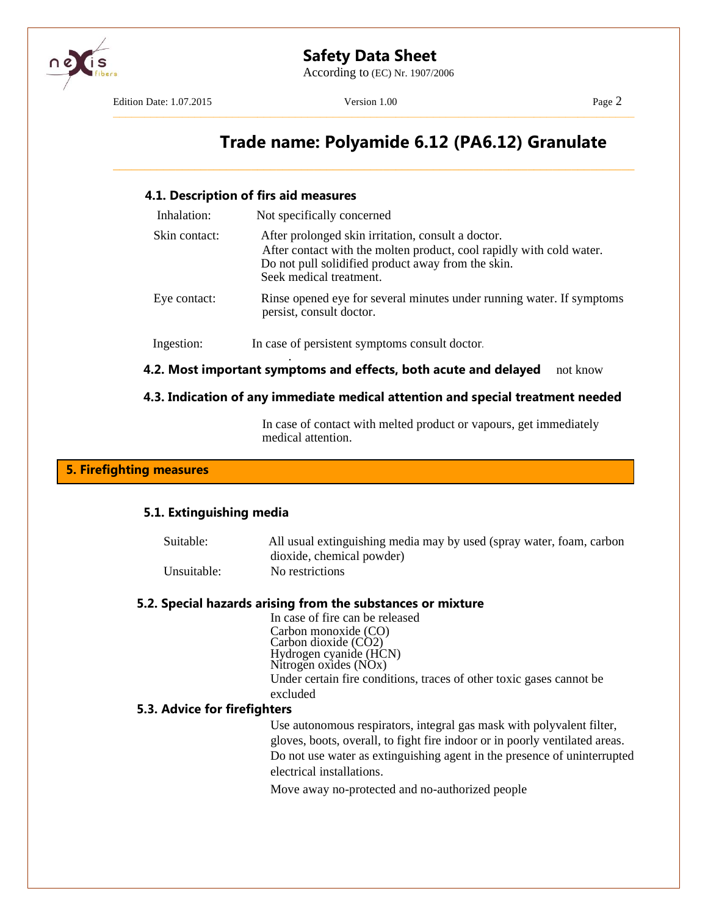

According to (EC) Nr. 1907/2006

Edition Date: 1.07.2015 Version 1.00 Page 2

–––––––––––––––––––––––––––––––––––––––––––––––––––––––––––––––––––––––––––––––––––

\_\_\_\_\_\_\_\_\_\_\_\_\_\_\_\_\_\_\_\_\_\_\_\_\_\_\_\_\_\_\_\_\_\_\_\_\_\_\_\_\_\_\_\_\_\_\_\_\_\_\_\_\_\_\_\_\_\_\_\_\_\_\_\_\_\_\_\_\_\_\_\_\_\_\_\_\_\_\_\_\_\_\_

# **Trade name: Polyamide 6.12 (PA6.12) Granulate**

#### **4.1. Description of firs aid measures**

| Inhalation:   | Not specifically concerned                                                                                                                                                                                  |
|---------------|-------------------------------------------------------------------------------------------------------------------------------------------------------------------------------------------------------------|
| Skin contact: | After prolonged skin irritation, consult a doctor.<br>After contact with the molten product, cool rapidly with cold water.<br>Do not pull solidified product away from the skin.<br>Seek medical treatment. |
| Eye contact:  | Rinse opened eye for several minutes under running water. If symptoms<br>persist, consult doctor.                                                                                                           |
| Ingestion:    | In case of persistent symptoms consult doctor.                                                                                                                                                              |
|               | 4.2. Most important symptoms and effects, both acute and delayed<br>not know                                                                                                                                |

## **4.3. Indication of any immediate medical attention and special treatment needed**

In case of contact with melted product or vapours, get immediately medical attention.

## **5. Firefighting measures**

#### **5.1. Extinguishing media**

Suitable: All usual extinguishing media may by used (spray water, foam, carbon dioxide, chemical powder) Unsuitable: No restrictions

#### **5.2. Special hazards arising from the substances or mixture**

In case of fire can be released Carbon monoxide (CO) Carbon dioxide (CO2) Hydrogen cyanide (HCN) Nitrogen oxides (NOx) Under certain fire conditions, traces of other toxic gases cannot be excluded

## **5.3. Advice for firefighters**

Use autonomous respirators, integral gas mask with polyvalent filter, gloves, boots, overall, to fight fire indoor or in poorly ventilated areas. Do not use water as extinguishing agent in the presence of uninterrupted electrical installations.

Move away no-protected and no-authorized people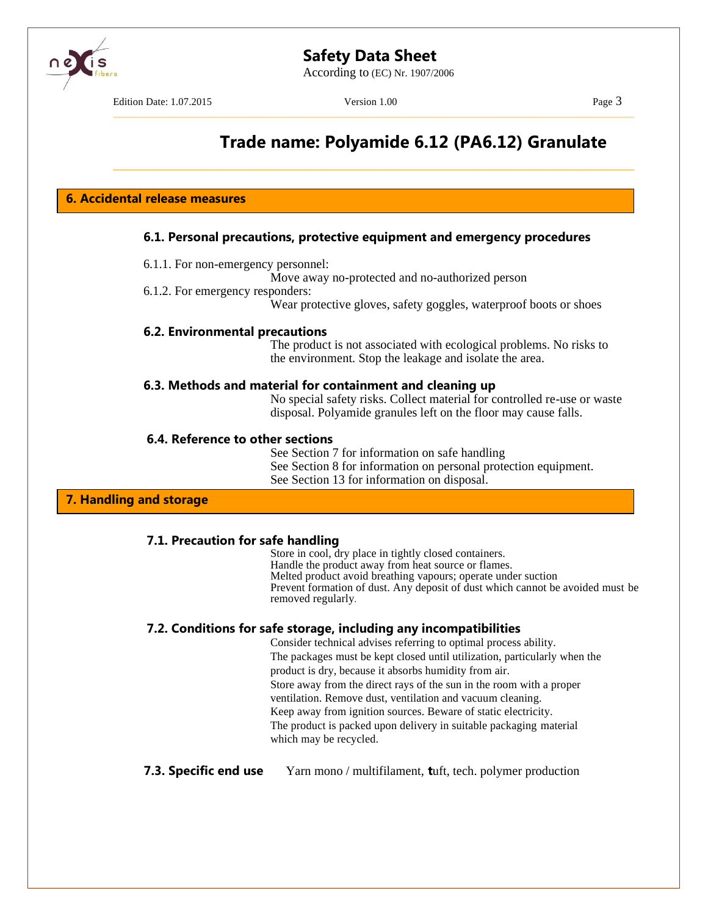According to (EC) Nr. 1907/2006

Edition Date: 1.07.2015 Version 1.00 Page 3 –––––––––––––––––––––––––––––––––––––––––––––––––––––––––––––––––––––––––––––––––––

\_\_\_\_\_\_\_\_\_\_\_\_\_\_\_\_\_\_\_\_\_\_\_\_\_\_\_\_\_\_\_\_\_\_\_\_\_\_\_\_\_\_\_\_\_\_\_\_\_\_\_\_\_\_\_\_\_\_\_\_\_\_\_\_\_\_\_\_\_\_\_\_\_\_\_\_\_\_\_\_\_\_\_

# **Trade name: Polyamide 6.12 (PA6.12) Granulate**

**6. Accidental release measures**

## **6.1. Personal precautions, protective equipment and emergency procedures**

- 6.1.1. For non-emergency personnel:
	- Move away no-protected and no-authorized person
- 6.1.2. For emergency responders:

Wear protective gloves, safety goggles, waterproof boots or shoes

## **6.2. Environmental precautions**

The product is not associated with ecological problems. No risks to the environment. Stop the leakage and isolate the area.

## **6.3. Methods and material for containment and cleaning up**

No special safety risks. Collect material for controlled re-use or waste disposal. Polyamide granules left on the floor may cause falls.

## **6.4. Reference to other sections**

See Section 7 for information on safe handling See Section 8 for information on personal protection equipment. See Section 13 for information on disposal.

## **7. Handling and storage**

## **7.1. Precaution for safe handling**

Store in cool, dry place in tightly closed containers. Handle the product away from heat source or flames. Melted product avoid breathing vapours; operate under suction Prevent formation of dust. Any deposit of dust which cannot be avoided must be removed regularly*.*

# **7.2. Conditions for safe storage, including any incompatibilities**

Consider technical advises referring to optimal process ability. The packages must be kept closed until utilization, particularly when the product is dry, because it absorbs humidity from air. Store away from the direct rays of the sun in the room with a proper ventilation. Remove dust, ventilation and vacuum cleaning. Keep away from ignition sources. Beware of static electricity. The product is packed upon delivery in suitable packaging material which may be recycled.

## **7.3. Specific end use** Yarn mono / multifilament, **t**uft, tech. polymer production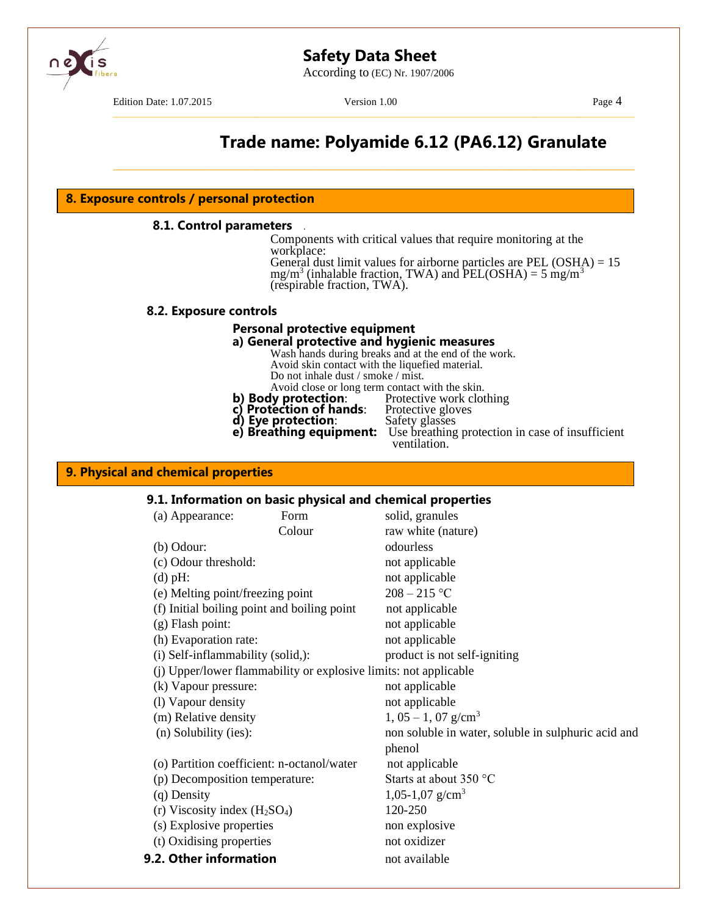According to (EC) Nr. 1907/2006

Edition Date: 1.07.2015 Version 1.00 Page 4

–––––––––––––––––––––––––––––––––––––––––––––––––––––––––––––––––––––––––––––––––––

\_\_\_\_\_\_\_\_\_\_\_\_\_\_\_\_\_\_\_\_\_\_\_\_\_\_\_\_\_\_\_\_\_\_\_\_\_\_\_\_\_\_\_\_\_\_\_\_\_\_\_\_\_\_\_\_\_\_\_\_\_\_\_\_\_\_\_\_\_\_\_\_\_\_\_\_\_\_\_\_\_\_\_

# **Trade name: Polyamide 6.12 (PA6.12) Granulate**

#### **8. Exposure controls / personal protection**

#### **8.1. Control parameters** *.*

Components with critical values that require monitoring at the workplace:

General dust limit values for airborne particles are PEL  $(OSHA) = 15$  $mg/m<sup>3</sup>$  (inhalable fraction, TWA) and PEL(OSHA) = 5 mg/m<sup>3</sup> (respirable fraction, TWA).

#### **8.2. Exposure controls**

#### **Personal protective equipment**

# **a) General protective and hygienic measures**

Wash hands during breaks and at the end of the work. Avoid skin contact with the liquefied material. Do not inhale dust / smoke / mist.

Avoid close or long term contact with the skin.<br>**y protection**: Protective work clothing

- **b) Body protection:** Protective work clothing
- **c) Protection of hands**: Protective gloves **c) Protection of hands**: Protective gloves<br>**d) Eye protection**: Safety glasses
	-
- **e) Breathing equipment:** Use breathing protection in case of insufficient ventilation.

#### **9. Physical and chemical properties**

#### **9.1. Information on basic physical and chemical properties**

|                                                                  | (a) Appearance:                             | Form   | solid, granules                                     |
|------------------------------------------------------------------|---------------------------------------------|--------|-----------------------------------------------------|
|                                                                  |                                             | Colour | raw white (nature)                                  |
|                                                                  | $(b)$ Odour:                                |        | odourless                                           |
|                                                                  | (c) Odour threshold:                        |        | not applicable                                      |
|                                                                  | $(d)$ pH:                                   |        | not applicable                                      |
|                                                                  | (e) Melting point/freezing point            |        | $208 - 215$ °C                                      |
|                                                                  | (f) Initial boiling point and boiling point |        | not applicable                                      |
|                                                                  | $(g)$ Flash point:                          |        | not applicable                                      |
|                                                                  | (h) Evaporation rate:                       |        | not applicable                                      |
|                                                                  | (i) Self-inflammability (solid,):           |        | product is not self-igniting                        |
| (j) Upper/lower flammability or explosive limits: not applicable |                                             |        |                                                     |
|                                                                  | (k) Vapour pressure:                        |        | not applicable                                      |
|                                                                  | (1) Vapour density                          |        | not applicable                                      |
|                                                                  | (m) Relative density                        |        | $1, 05 - 1, 07$ g/cm <sup>3</sup>                   |
|                                                                  | (n) Solubility (ies):                       |        | non soluble in water, soluble in sulphuric acid and |
|                                                                  |                                             |        | phenol                                              |
|                                                                  | (o) Partition coefficient: n-octanol/water  |        | not applicable                                      |
|                                                                  | (p) Decomposition temperature:              |        | Starts at about 350 °C                              |
|                                                                  | (q) Density                                 |        | 1,05-1,07 g/cm <sup>3</sup>                         |
|                                                                  | (r) Viscosity index $(H_2SO_4)$             |        | 120-250                                             |
|                                                                  | (s) Explosive properties                    |        | non explosive                                       |
|                                                                  | (t) Oxidising properties                    |        | not oxidizer                                        |
|                                                                  | 9.2. Other information                      |        | not available                                       |
|                                                                  |                                             |        |                                                     |

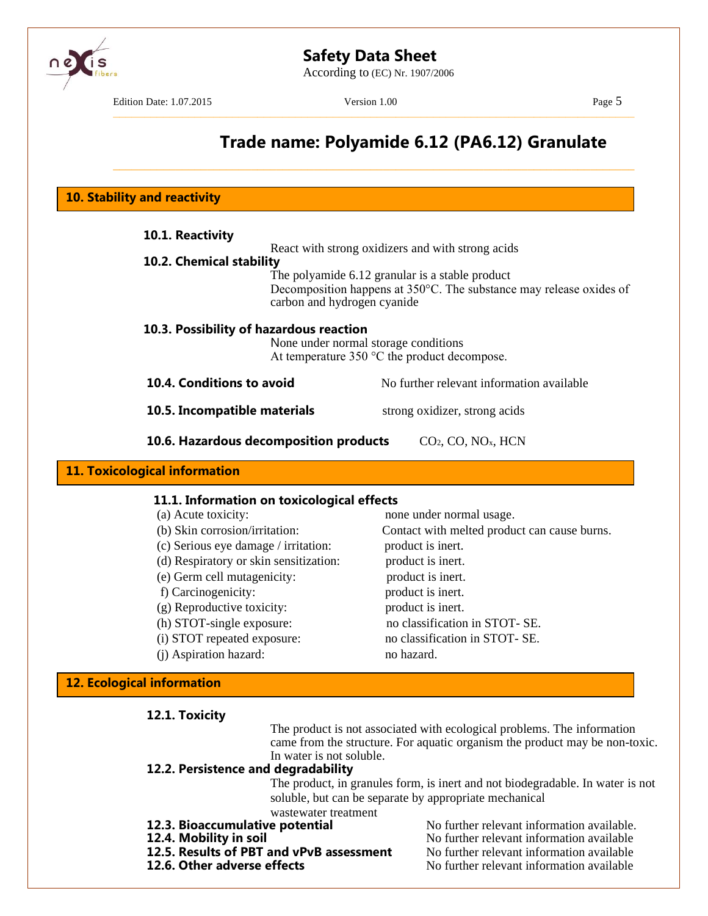According to (EC) Nr. 1907/2006



Edition Date: 1.07.2015 Version 1.00 Page 5

–––––––––––––––––––––––––––––––––––––––––––––––––––––––––––––––––––––––––––––––––––

\_\_\_\_\_\_\_\_\_\_\_\_\_\_\_\_\_\_\_\_\_\_\_\_\_\_\_\_\_\_\_\_\_\_\_\_\_\_\_\_\_\_\_\_\_\_\_\_\_\_\_\_\_\_\_\_\_\_\_\_\_\_\_\_\_\_\_\_\_\_\_\_\_\_\_\_\_\_\_\_\_\_\_

# **Trade name: Polyamide 6.12 (PA6.12) Granulate**

**10. Stability and reactivity**

| 10.1. Reactivity<br>10.2. Chemical stability                                                                                                | React with strong oxidizers and with strong acids<br>The polyamide 6.12 granular is a stable product<br>Decomposition happens at $350^{\circ}$ C. The substance may release oxides of |
|---------------------------------------------------------------------------------------------------------------------------------------------|---------------------------------------------------------------------------------------------------------------------------------------------------------------------------------------|
| carbon and hydrogen cyanide<br>10.3. Possibility of hazardous reaction                                                                      | None under normal storage conditions<br>At temperature $350 \degree C$ the product decompose.                                                                                         |
| 10.4. Conditions to avoid                                                                                                                   | No further relevant information available                                                                                                                                             |
| 10.5. Incompatible materials                                                                                                                | strong oxidizer, strong acids                                                                                                                                                         |
| 10.6. Hazardous decomposition products                                                                                                      | CO <sub>2</sub> , CO, NO <sub>x</sub> , HCN                                                                                                                                           |
| <b>11. Toxicological information</b>                                                                                                        |                                                                                                                                                                                       |
| 11.1. Information on toxicological effects<br>(a) Acute toxicity:<br>(b) Skin corrosion/irritation:<br>(c) Serious eye damage / irritation: | none under normal usage.<br>Contact with melted product can cause burns.<br>product is inert.                                                                                         |

- 
- 
- 
- (g) Reproductive toxicity: product is inert.
- 
- 
- (j) Aspiration hazard: no hazard.

# (d) Respiratory or skin sensitization: product is inert. (e) Germ cell mutagenicity: product is inert. f) Carcinogenicity: product is inert. (h) STOT-single exposure: no classification in STOT- SE. (i) STOT repeated exposure: no classification in STOT- SE.

## **12. Ecological information**

## **12.1. Toxicity**

The product is not associated with ecological problems. The information came from the structure. For aquatic organism the product may be non-toxic. In water is not soluble.

## **12.2. Persistence and degradability**

The product, in granules form, is inert and not biodegradable. In water is not soluble, but can be separate by appropriate mechanical wastewater treatment

- 
- 
- **12.5. Results of PBT and vPvB assessment** No further relevant information available
- 

**12.3. Bioaccumulative potential** No further relevant information available.<br>**12.4. Mobility in soil** No further relevant information available No further relevant information available **12.6. Other adverse effects** No further relevant information available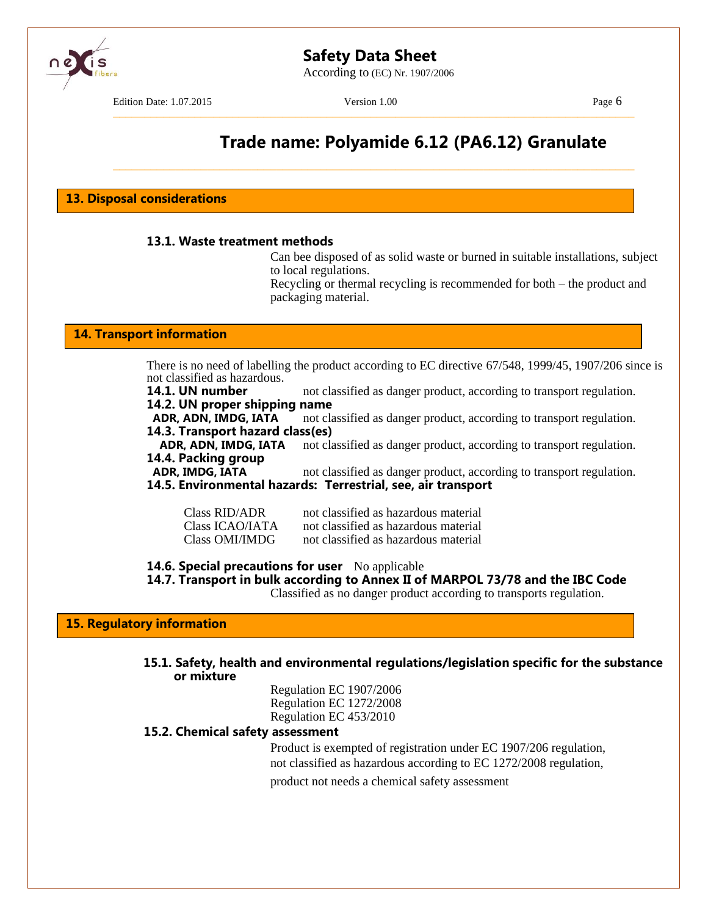According to (EC) Nr. 1907/2006

Edition Date: 1.07.2015 Version 1.00 Page 6

–––––––––––––––––––––––––––––––––––––––––––––––––––––––––––––––––––––––––––––––––––

\_\_\_\_\_\_\_\_\_\_\_\_\_\_\_\_\_\_\_\_\_\_\_\_\_\_\_\_\_\_\_\_\_\_\_\_\_\_\_\_\_\_\_\_\_\_\_\_\_\_\_\_\_\_\_\_\_\_\_\_\_\_\_\_\_\_\_\_\_\_\_\_\_\_\_\_\_\_\_\_\_\_\_

# **Trade name: Polyamide 6.12 (PA6.12) Granulate**

**13. Disposal considerations**

#### **13.1. Waste treatment methods**

Can bee disposed of as solid waste or burned in suitable installations, subject to local regulations.

Recycling or thermal recycling is recommended for both – the product and packaging material.

#### **14. Transport information**

There is no need of labelling the product according to EC directive 67/548, 1999/45, 1907/206 since is not classified as hazardous.

**14.1. UN number** not classified as danger product, according to transport regulation. **14.2. UN proper shipping name**

**ADR, ADN, IMDG, IATA** not classified as danger product, according to transport regulation. **14.3. Transport hazard class(es)**

**ADR, ADN, IMDG, IATA** not classified as danger product, according to transport regulation. **14.4. Packing group**

**ADR, IMDG, IATA** not classified as danger product, according to transport regulation.

**14.5. Environmental hazards: Terrestrial, see, air transport**

| <b>Class RID/ADR</b> | not classified as hazardous material |
|----------------------|--------------------------------------|
| Class ICAO/IATA      | not classified as hazardous material |
| Class OMI/IMDG       | not classified as hazardous material |

#### **14.6. Special precautions for user** No applicable

**14.7. Transport in bulk according to Annex II of MARPOL 73/78 and the IBC Code**

Classified as no danger product according to transports regulation.

**15. Regulatory information**

**15.1. Safety, health and environmental regulations/legislation specific for the substance or mixture**

> Regulation EC 1907/2006 Regulation EC 1272/2008 Regulation EC 453/2010

#### **15.2. Chemical safety assessment**

Product is exempted of registration under EC 1907/206 regulation, not classified as hazardous according to EC 1272/2008 regulation, product not needs a chemical safety assessment